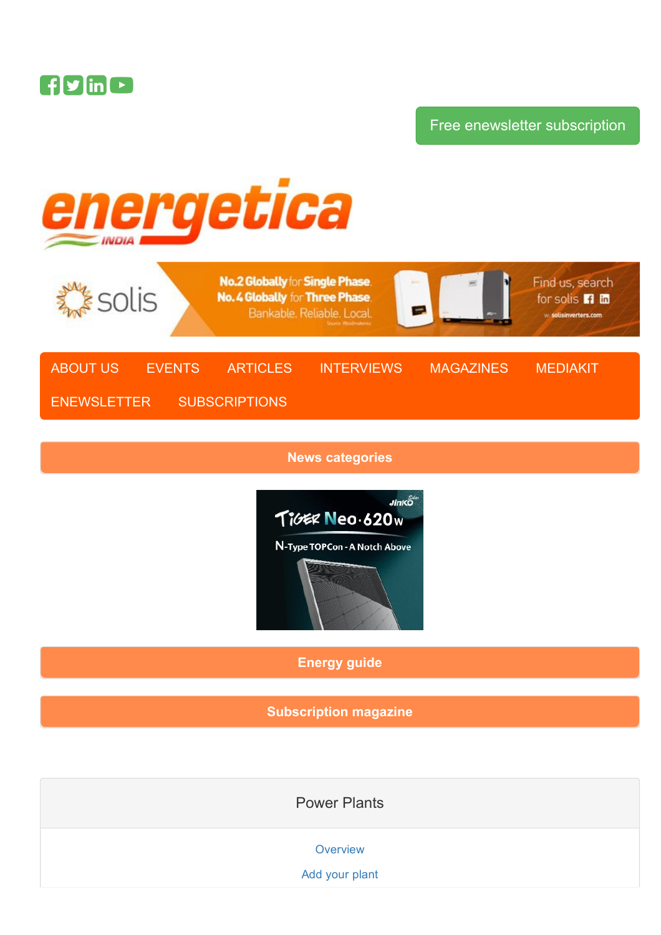

# Free enewsletter [subscription](https://www.energetica-india.net/subscriptions/enewsletters)



News [categories](https://www.energetica-india.net/#collapseOne)



[Energy](https://www.energetica-india.net/#collapseTwo) guide

[Subscription](https://www.energetica-india.net/subscriptions/printed-magazine) magazine

Power Plants

**[Overview](https://www.energetica-india.net/power-plants)** 

Add your [plant](https://www.energetica-india.net/power-plants/add-your-plant)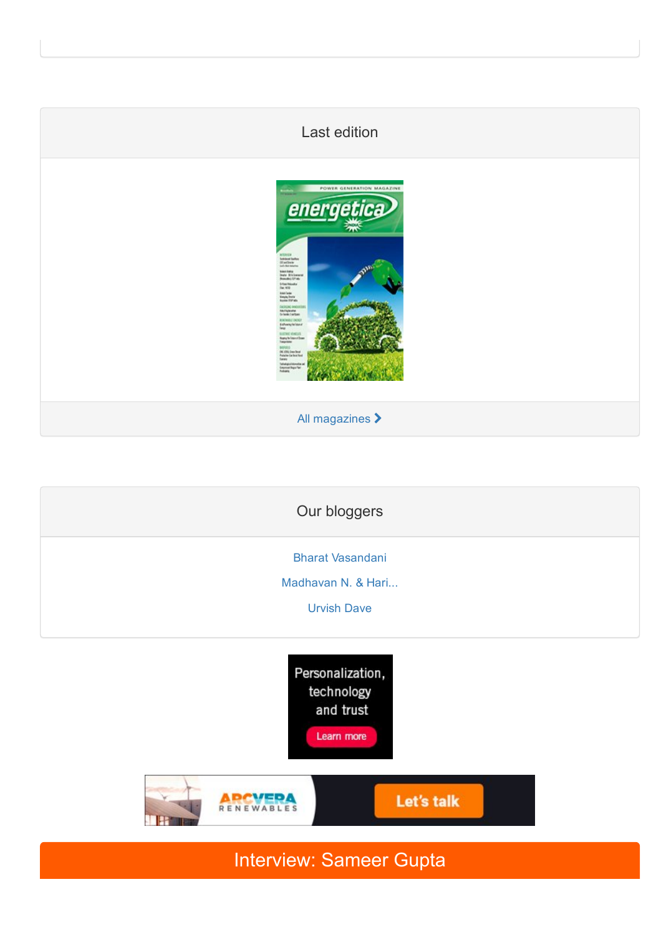# Last edition



All [magazines](https://www.energetica-india.net/magazine) >

Our bloggers Bharat [Vasandani](http://bharatvasandani.wordpress.com/) [Madhavan](http://www.re-solve.in/perspectives-and-insights/) N. & Hari...

[Urvish](http://urvishdave.wordpress.com/) Dave





Interview: Sameer Gupta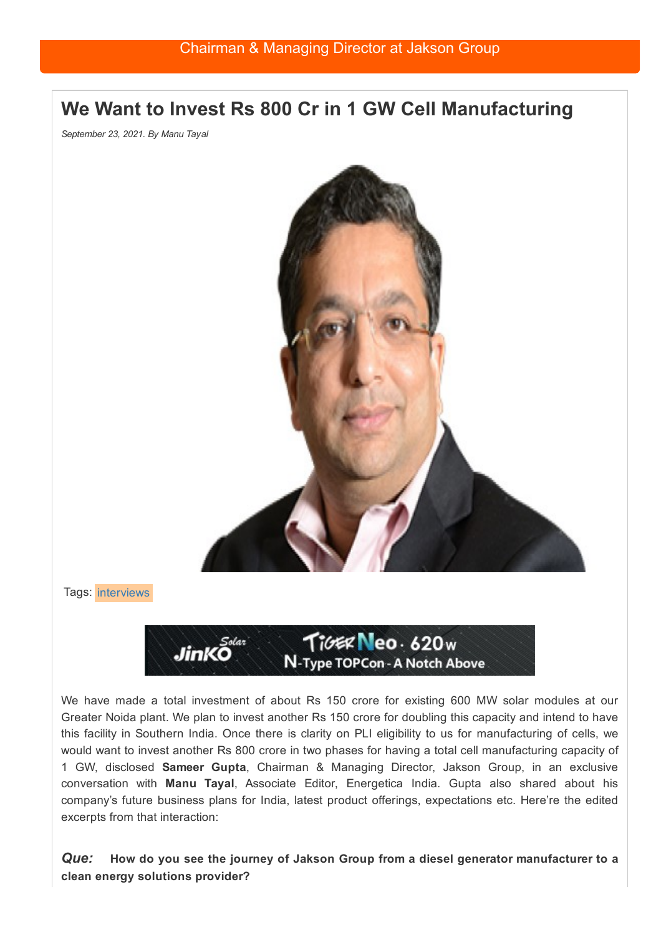# We Want to Invest Rs 800 Cr in 1 GW Cell Manufacturing

*September 23, 2021. By Manu Tayal*



Tags: [interviews](https://www.energetica-india.net/interviews)



We have made a total investment of about Rs 150 crore for existing 600 MW solar modules at our Greater Noida plant. We plan to invest another Rs 150 crore for doubling this capacity and intend to have this facility in Southern India. Once there is clarity on PLI eligibility to us for manufacturing of cells, we would want to invest another Rs 800 crore in two phases for having a total cell manufacturing capacity of 1 GW, disclosed Sameer Gupta, Chairman & Managing Director, Jakson Group, in an exclusive conversation with Manu Tayal, Associate Editor, Energetica India. Gupta also shared about his company's future business plans for India, latest product offerings, expectations etc. Here're the edited excerpts from that interaction:

*Que:* How do you see the journey of Jakson Group from a diesel generator manufacturer to a clean energy solutions provider?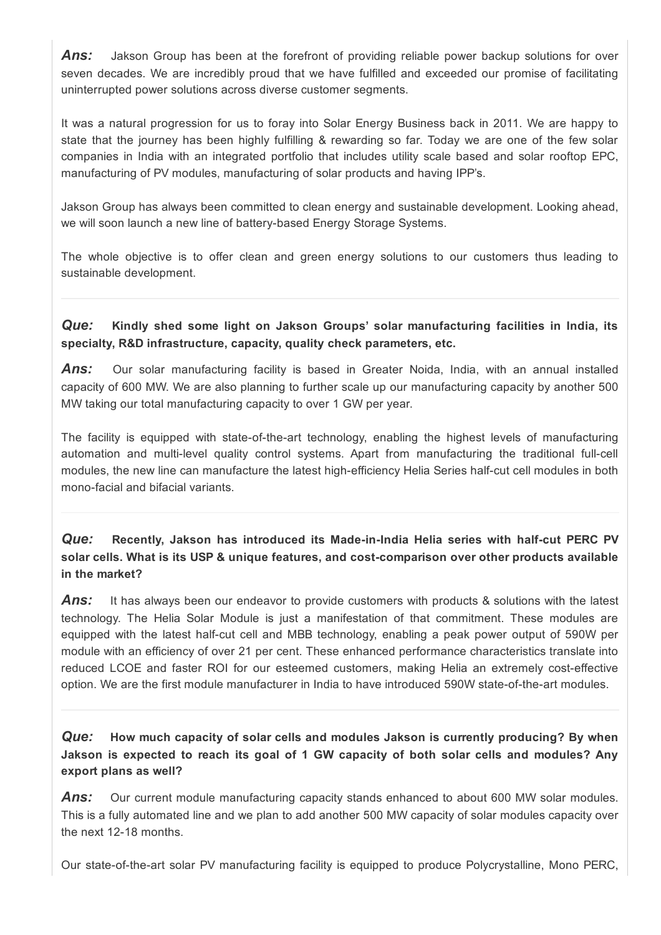**Ans:** Jakson Group has been at the forefront of providing reliable power backup solutions for over seven decades. We are incredibly proud that we have fulfilled and exceeded our promise of facilitating uninterrupted power solutions across diverse customer segments.

It was a natural progression for us to foray into Solar Energy Business back in 2011. We are happy to state that the journey has been highly fulfilling & rewarding so far. Today we are one of the few solar companies in India with an integrated portfolio that includes utility scale based and solar rooftop EPC, manufacturing of PV modules, manufacturing of solar products and having IPP's.

Jakson Group has always been committed to clean energy and sustainable development. Looking ahead, we will soon launch a new line of battery-based Energy Storage Systems.

The whole objective is to offer clean and green energy solutions to our customers thus leading to sustainable development.

*Que:* Kindly shed some light on Jakson Groups' solar manufacturing facilities in India, its specialty, R&D infrastructure, capacity, quality check parameters, etc.

**Ans:** Our solar manufacturing facility is based in Greater Noida, India, with an annual installed capacity of 600 MW. We are also planning to further scale up our manufacturing capacity by another 500 MW taking our total manufacturing capacity to over 1 GW per year.

The facility is equipped with state-of-the-art technology, enabling the highest levels of manufacturing automation and multi-level quality control systems. Apart from manufacturing the traditional full-cell modules, the new line can manufacture the latest high-efficiency Helia Series half-cut cell modules in both mono-facial and bifacial variants.

**Que:** Recently, Jakson has introduced its Made-in-India Helia series with half-cut PERC PV solar cells. What is its USP & unique features, and cost-comparison over other products available in the market?

**Ans:** It has always been our endeavor to provide customers with products & solutions with the latest technology. The Helia Solar Module is just a manifestation of that commitment. These modules are equipped with the latest half-cut cell and MBB technology, enabling a peak power output of 590W per module with an efficiency of over 21 per cent. These enhanced performance characteristics translate into reduced LCOE and faster ROI for our esteemed customers, making Helia an extremely cost-effective option. We are the first module manufacturer in India to have introduced 590W state-of-the-art modules.

*Que:* How much capacity of solar cells and modules Jakson is currently producing? By when Jakson is expected to reach its goal of 1 GW capacity of both solar cells and modules? Any export plans as well?

*Ans:* Our current module manufacturing capacity stands enhanced to about 600 MW solar modules. This is a fully automated line and we plan to add another 500 MW capacity of solar modules capacity over the next 12-18 months.

Our state-of-the-art solar PV manufacturing facility is equipped to produce Polycrystalline, Mono PERC,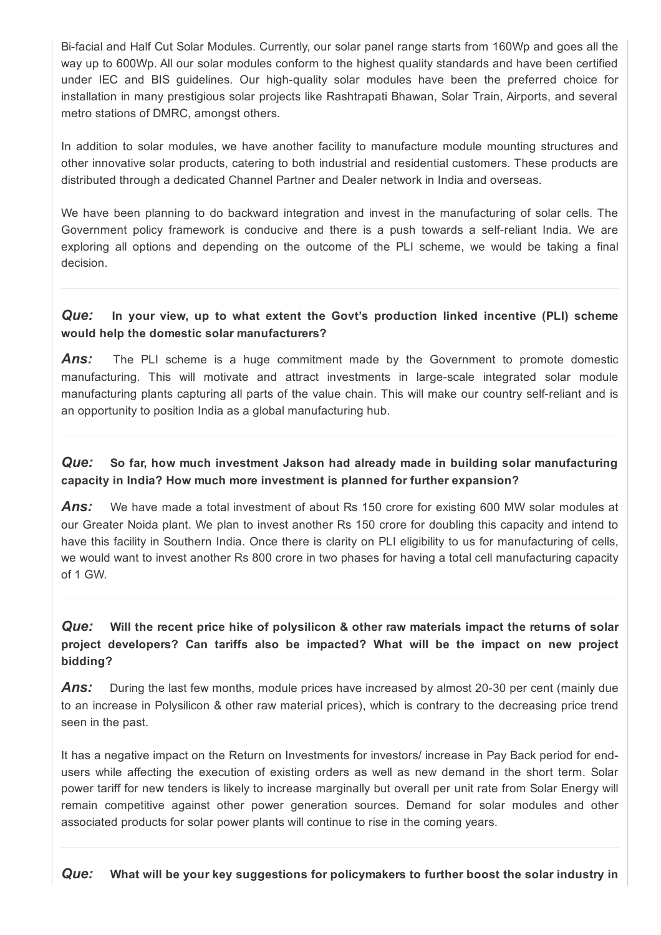Bifacial and Half Cut Solar Modules. Currently, our solar panel range starts from 160Wp and goes all the way up to 600Wp. All our solar modules conform to the highest quality standards and have been certified under IEC and BIS quidelines. Our high-quality solar modules have been the preferred choice for installation in many prestigious solar projects like Rashtrapati Bhawan, Solar Train, Airports, and several metro stations of DMRC, amongst others.

In addition to solar modules, we have another facility to manufacture module mounting structures and other innovative solar products, catering to both industrial and residential customers. These products are distributed through a dedicated Channel Partner and Dealer network in India and overseas.

We have been planning to do backward integration and invest in the manufacturing of solar cells. The Government policy framework is conducive and there is a push towards a selfreliant India. We are exploring all options and depending on the outcome of the PLI scheme, we would be taking a final decision.

#### *Que:* In your view, up to what extent the Govt's production linked incentive (PLI) scheme would help the domestic solar manufacturers?

**Ans:** The PLI scheme is a huge commitment made by the Government to promote domestic manufacturing. This will motivate and attract investments in large-scale integrated solar module manufacturing plants capturing all parts of the value chain. This will make our country self-reliant and is an opportunity to position India as a global manufacturing hub.

#### *Que:* So far, how much investment Jakson had already made in building solar manufacturing capacity in India? How much more investment is planned for further expansion?

*Ans:* We have made a total investment of about Rs 150 crore for existing 600 MW solar modules at our Greater Noida plant. We plan to invest another Rs 150 crore for doubling this capacity and intend to have this facility in Southern India. Once there is clarity on PLI eligibility to us for manufacturing of cells, we would want to invest another Rs 800 crore in two phases for having a total cell manufacturing capacity of 1 GW.

### *Que:* Will the recent price hike of polysilicon & other raw materials impact the returns of solar project developers? Can tariffs also be impacted? What will be the impact on new project bidding?

**Ans:** During the last few months, module prices have increased by almost 20-30 per cent (mainly due to an increase in Polysilicon & other raw material prices), which is contrary to the decreasing price trend seen in the past.

It has a negative impact on the Return on Investments for investors/ increase in Pay Back period for endusers while affecting the execution of existing orders as well as new demand in the short term. Solar power tariff for new tenders is likely to increase marginally but overall per unit rate from Solar Energy will remain competitive against other power generation sources. Demand for solar modules and other associated products for solar power plants will continue to rise in the coming years.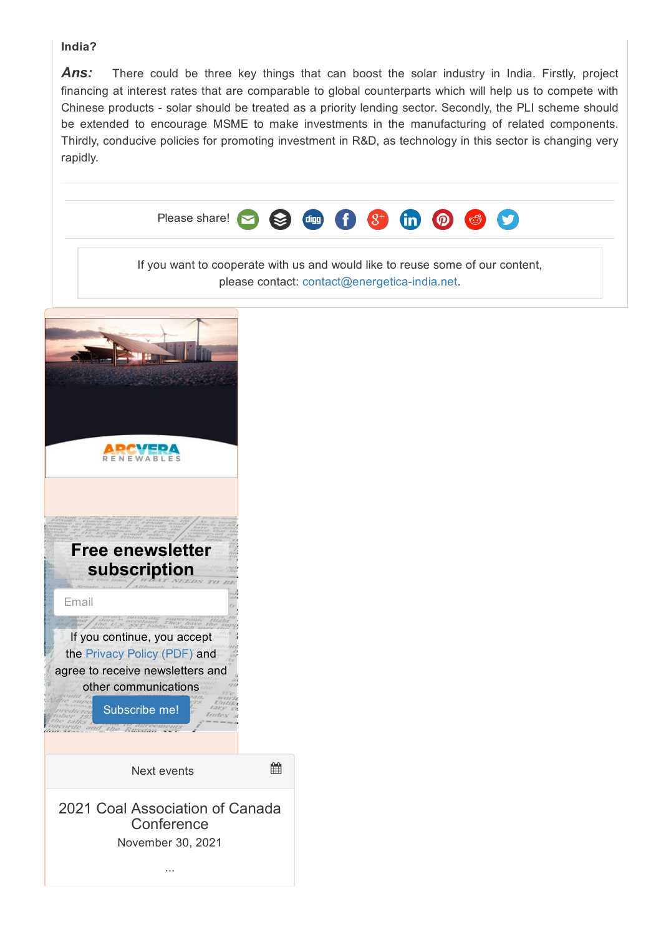#### India?

Ans: There could be three key things that can boost the solar industry in India. Firstly, project financing at interest rates that are comparable to global counterparts which will help us to compete with Chinese products - solar should be treated as a priority lending sector. Secondly, the PLI scheme should be extended to encourage MSME to make investments in the manufacturing of related components. Thirdly, conducive policies for promoting investment in R&D, as technology in this sector is changing very rapidly.

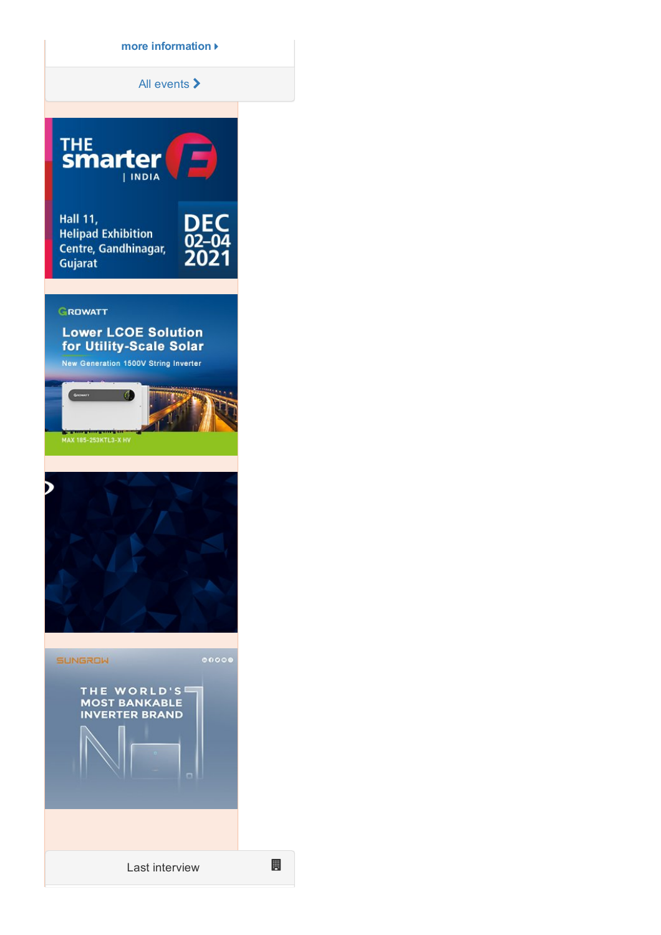more [information](https://www.energetica-india.net/events/2021-coal-association-of-canada-conference)

All [events](https://www.energetica-india.net/events) >



# **Lower LCOE Solution** for Utility-Scale Solar

New Generation 1500V String Inverter





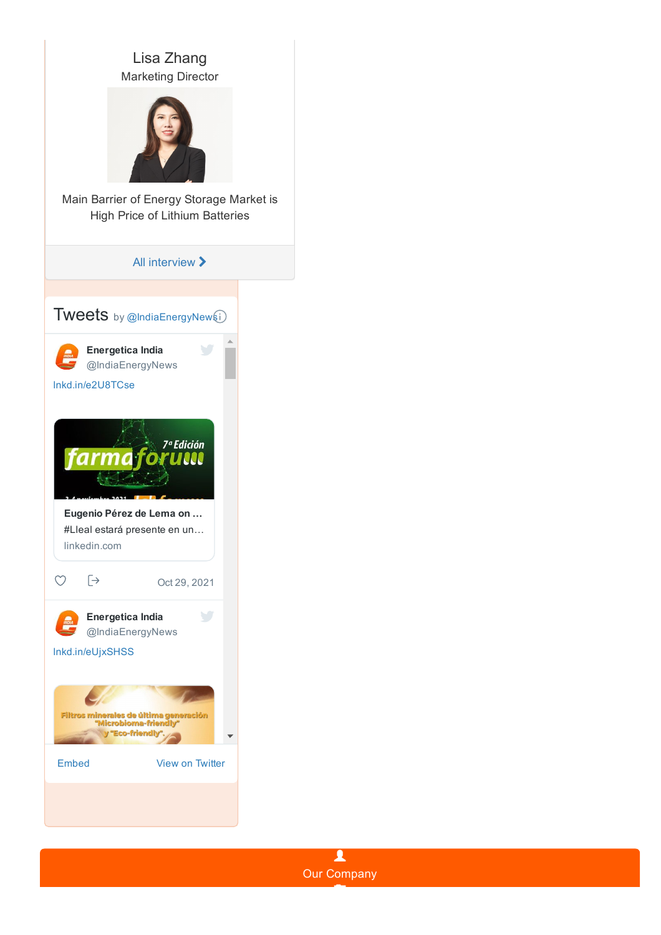



T